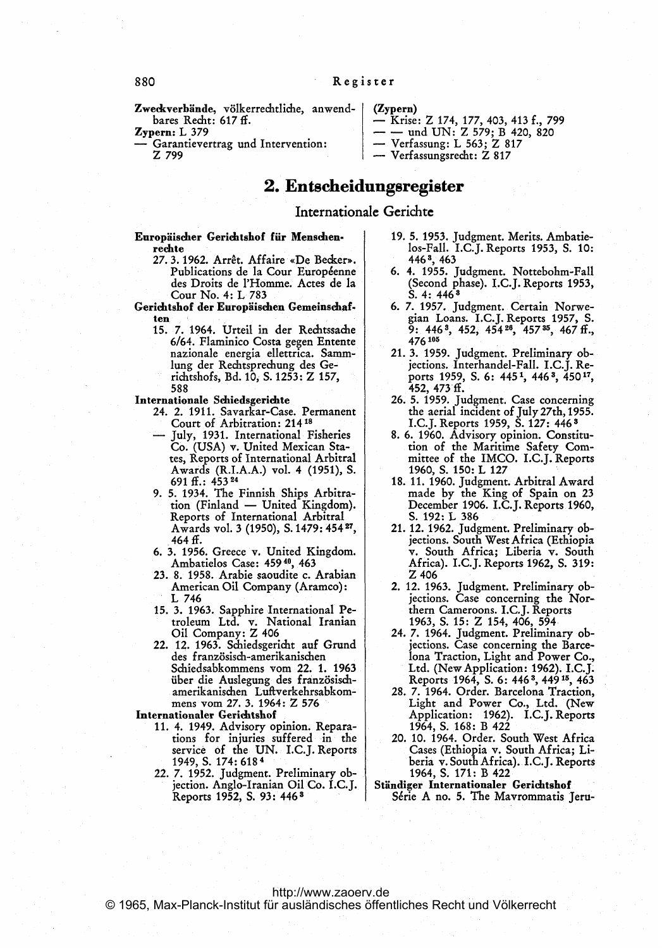(Zypern)

Zweckverbände, völkerrechtliche, anwendbares Recht: 617 ff.

 $\mathbf{Z}$ ypern:  $\mathbf{L}$  379

Garantievertrag und Intervention: Z 799

# 2. Entscheidungsregister

### Internationale Gerichte

Europäischer Gerichtshof für Menschenrechte

- 27.3.1962. Arrêt. Affaire «De Becker». Publications de la Cour Européenne des Droits de I'Homme. Actes de la Cour No. 4: L 783
- Gerichtshof der Europiischen Gemeinschaften
	- 15. 7. 1964. Urteil in der Rechtssadie 6/64. Flaminico Costa gegen Entente nazionale energia ellettrica. Sammlung der Rechtsprechung des Gerichtshofs, Bd. 10, S. 1253: Z 157, 588
- Internationale Schiedsgerichte
	- 24. 2. 1911. Savarkar-Case. Permanent Court of Arbitration: 21418
	- July, 1931. International Fisheries Co. (USA) v. United Mexican States, Reports of International Arbitral Awards (R.I.A.A.) vol. 4 (1951), S. 691 ff.: 453 <sup>24</sup>
	- 9. 5. 1934. The Finnish Ships Arbitration (Finland - United Kingdom). Reports of International Arbitral Awards vol. <sup>3</sup> (1950), S. 1479: 454 27, 464 ff.
	- 6. 3. 1956. Greece v. United Kingdom. Ambatielos Case: 459 40, 463
	- 23. 8. 1958. Arabie saoudite c. Arabian American Oil Company (Aramco): <sup>L</sup> <sup>746</sup>
	- 15. 3. 1963. Sapphire International Petroleum Ltd. v. National Iranian Oil Company: Z <sup>406</sup>
	- 22. 12. 1963. Schiedsgericht auf Grund des französisch-amerikanischen Schiedsabkommens vom 22. 1. 1963 über die Auslegung des französischamerikanischen Luftverkehrsabkommens vom 27. 3. 1964: Z 576

Internationaler Gerichtshof

- 11. 4. 1949. Advisory opinion. Repara- tions for injuries suffered in the service of the UN. I.C.J. Reports 1949, S. 174: 618 <sup>4</sup>
- 22. 7. 1952. judgment. Preliminary objection. Anglo-Iranian Oil Co. I.C.J. Reports 1952, S. 93: 446 <sup>3</sup>

19. 5. 1953. judgment. Merits. Ambatielos-Fall. I.C.J. Reports 1953, S. 10: 4463,463

- Krise: Z 174, 177, 403, 413 f., 799<br>- — und UN: Z 579; B 420, 820<br>- Verfassung: L 563; Z 817

- Verfassungsrecht: Z 817

- 6. 4. 1955. judgment. Nottebohm-Fall (Second phase). I.C.J. Reports 1953.<br>S. 4: 446<sup>3</sup>
- 6. 7. 1957. judgment. Certain Norwegian Loans. I.C.J. Reports 1957, S. 9: 446<sup>3</sup>, 452, 454<sup>26</sup>, 457<sup>35</sup>, 467 ff., 476105
- 21. 3. 1959. judgment. Preliminary objections. Interhandel-Fall. I.C.J. Reports 1959, S. 6: 445<sup>1</sup>, 446<sup>3</sup>, 450<sup>17</sup>, 452, 473 ff.
- 26. 5. 1959. judgment. Case concerning the aerial incident of July 27th, 1955. I.C.J. Reports 1959, S. 127: 446 <sup>3</sup>
- 8. 6. 1960. Advisory opinion. Constitution of the Maritime Safety Committee of the IMCO. I.C.J. Reports 1960, S. 150: L 127
- 18. 11. 1960. judgment. Arbitral Award made by the King of Spain on 23 December 1906. I.C.J. Reports 1960, S. 192: L 386
- 21. 12. 1962. judgment. Preliminary objections. South West Africa (Ethiopia v. South Africa; Liberia v. South Africa). I.C.J. Reports 1962, S. 319: Z 406
- 2. 12. 1963. judgment. Preliminary objections. Case concerning the Northem Cameroons. I.C.J. Reports 1963, S. 15: Z 154, 406, 594
- 24. 7. 1964. Judgment. Preliminary objections. Case concerning the Barce-Iona Traction, Light and Power Co., Ltd. (New Application: 1962). I.C.J. Reports 1964, S. 6: 446 3, 449 15, 463
- 28. 7. 1964. Order. Barcelona Traction, Light and Power Co., Ltd. (New Application: 1962). I.C.J. Reports 1964, S. 168: B 422
- 20. 10. 1964. Order. South West Africa Cases (Ethiopia v. South Africa; Liberia v. South Africa). I.C.J. Reports 1964, S. 171: B 422
- Ständiger Internationaler Gerichtshof Série A no. 5. The Mavrommatis Jeru-

[http://www.zaoerv.de](Jeru-http://www.zaoerv.de) © 1965, Max-Planck-Institut für ausländisches öffentliches Recht und Völkerrecht

880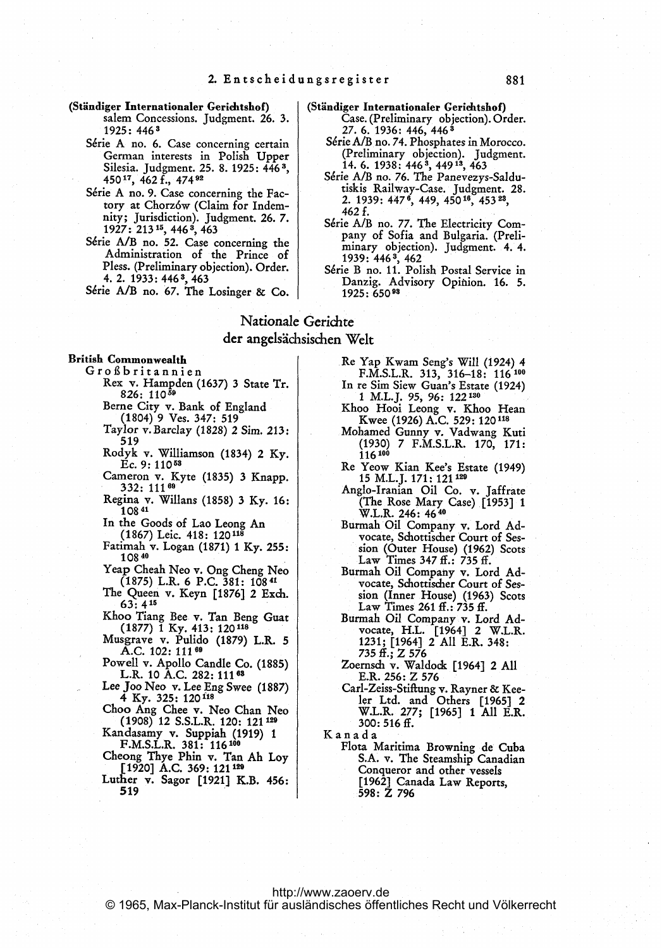#### (Ständiger Internationaler Gerichtshof) salem Concessions. Judgment. 26. 3. 1925: 4463

- Série A no. 6. Case concerning certain German interests in Polish Upper Silesia. judgment. 25. 8. 1925: 446 3, 45017., 462 f., 474 <sup>92</sup>
- Série A no. 9. Case concerning the Factory at Chorz6w (Claim for Indemnity; jurisdiction). judgment. 26. 7. 1927: 213<sup>15</sup>, 446<sup>3</sup>, 463
- Série A/B no. 52. Case concerning the Administration of the Prince of Pless. (Preliminary objection). Order. 4. 2. 1933: 4463, 463

Série A/B no. 67. The Losinger & Co.

- (Stiindiger Internationaler Gerichtshof)
	- Case. (Preliminary objection). Order. 27. 6. 1936: 446, 446 <sup>3</sup>
	- S6rie A/B no. 74. Phosphates in Morocco. (Preliminary objection). Judgment. 14. 6. 1938: 4463, 44913, 463
	- Série A/B no. 76. The Panevezys-Saldutiskis Railway-Case. Judgment. 28.<br>2. 1939: 447<sup>6</sup>, 449, 450<sup>16</sup>, 453<sup>23</sup>, 462 f.
	- Série A/B no. 77. The Electricity Company of Sofia and Bulgaria. (Preliminary objection). judgment. 4. 4. 1939: 446 3, 462 S6rie B no. 11. Polish Postal Service in
	- Danzig. Advisory Opinion. 16. 5. 1925: 65093

## Nationale Gcrichte der angelsächsischen Welt

#### British Commonwealth

- G r o ß b r i t a n n i e n Rex v. Hampden (1637) <sup>3</sup> State Tr.
	- 826: 11059 Berne City v. Bank of England
	- (1804) 9 Ves. 347: 519
	- Taylor v. Barclay (1828) 2 Sim. 213: 519
	- Rodyk v. Williamson (1834) <sup>2</sup> Ky. Ec. 9: <sup>11053</sup>
	- Cameron v. Kyte (1835) 3 Knapp.<br>332: 111<sup>69</sup>
	- Regina v. Willans (1858) 3 Ky. 16: 10841
	- In the Goods of Lao Leong An (1867) Leic. 418: 120118
	-
	- Fatimah v. Logan (1871) <sup>1</sup> Ky. 255: 10840
	- Yeap Cheah Neo v. Ong Cheng Neo (1875) L.R. 6 P.C. 381: 10841
	- The Queen v. Keyn [1876] 2 Exch. 63: 4 <sup>15</sup>
	- Khoo Tiang Bee v. Tan Beng Guat (1877) <sup>1</sup> Ky. 413: 120118
	- Musgrave v. Pulido (1879) L.R. 5 A.C. 102: 111<sup>69</sup>
	- Powell v. Apollo Candle Co. (1885) L.R. <sup>10</sup> A.C. 282: <sup>11163</sup>
	- Lee Joo Neo v. Lee Eng Swee (1887)<br>4 Ky. 325: 120<sup>118</sup>
	- Choo Ang Chee v. Neo Chan Neo (1908) 12 S.S.L.R. 120: 121 <sup>129</sup>
	- Kandasamy v. Suppiah (1919) <sup>1</sup> F.M.S.L.R. 381: 116 <sup>100</sup>
	- Cheong Thye Phin v. Tan Ali Loy [1920] A.C. 369: 121 129
	- Luther v. Sagor [1921] K.B. 456: 519
- Re Yap Kwam Seng's Will (1924) <sup>4</sup> F.M.S.L.R. 313, 316-18: 116 <sup>100</sup> In re Sim Siew Guan's Estate (1924)
- <sup>1</sup> M.L.J. 95, 96: 122 <sup>130</sup> Khoo Hooi Leong v. Khoo Hean
- Kwee (1926) A.C. 529: <sup>120118</sup>
- Mohamed Gunny v. Vadwang Kuti (1930) 7 F.M.S.L.R. 170, 171: 116 100
- Re Yeow Kian Kee's Estate (1949) 15 M.L.J. 171: 121<sup>129</sup>
- Anglo-Iranian Oil Co. v. Jaffrate (The Rose Mary Case) [1953] <sup>1</sup> W.L.R. 246: 4640
- Burmah Oil Company v. Lord Advocate, Schottischer Court of Session (Outer House) (1962) Scots Law Times 347 ff.: 735 ff.
- Burmah Oil Company v. Lord Advocate, Sdiottischer Court of Session (Inner House) (1963) Scots Law Times 261 ff.: 735 ff.
- Burmah Oil Company v. Lord Ad-vocate, H.L. [19641 2 W.L.R. 1231; [19641 2 All E.R. 348: 735 ff.; Z 576
- Zoernsch v. Waldodk [1964] 2 All E.R. 256: Z 576
- Carl-Zeiss-Stiftung v. Rayner & Kee-ler Ltd. and Others [19651 2 W.L.R. 277; [1965] <sup>1</sup> All E.R. 300: 516 ff.
- Kanada
	- Flota Maritima Browning de Cuba S.A. v. The Steamship Canadian Conqueror and other vessels [1962) Canada Law Reports, 598: Z 796

#### <http://www.zaoerv.de> © 1965, Max-Planck-Institut für ausländisches öffentliches Recht und Völkerrecht